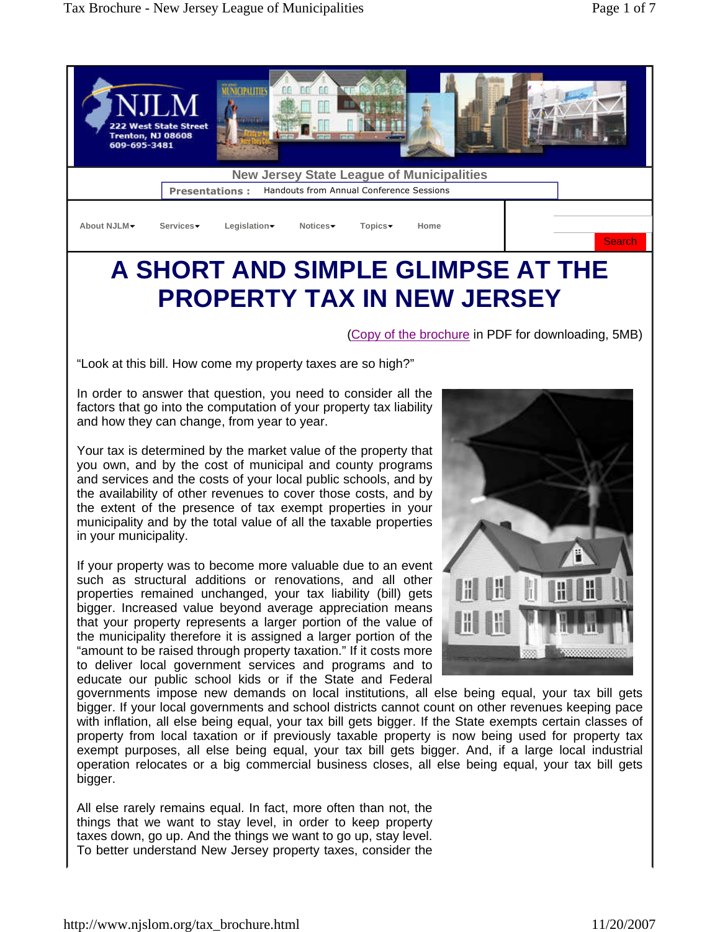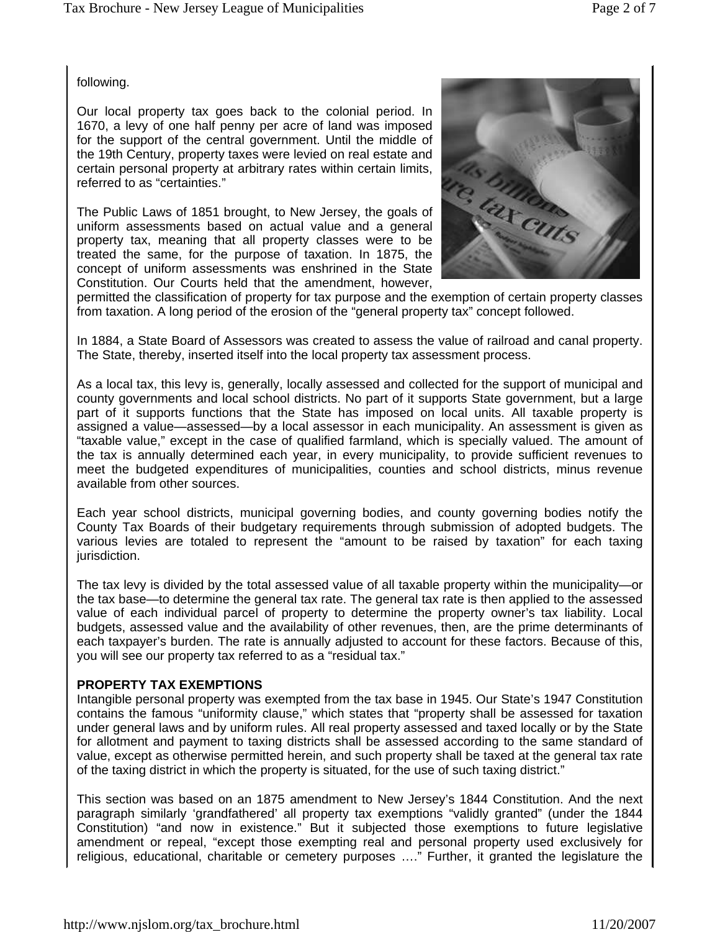following.

Our local property tax goes back to the colonial period. In 1670, a levy of one half penny per acre of land was imposed the 19th Century, property taxes were levied on real estate and certain personal property at arbitrary rates within certain limits, referred to as "certainties."

for the support of the central government. Until the middle of<br>the 19th Century, property taxes were levied on real estate and<br>certain personal property at arbitrary rates within certain limits,<br>referred to as "certainties The Public Laws of 1851 brought, to New Jersey, the goals of uniform assessments based on actual value and a general property tax, meaning that all property classes were to be treated the same, for the purpose of taxation. In 1875, the concept of uniform assessments was enshrined in the State Constitution. Our Courts held that the amendment, however,



permitted the classification of property for tax purpose and the exemption of certain property classes from taxation. A long period of the erosion of the "general property tax" concept followed.

In 1884, a State Board of Assessors was created to assess the value of railroad and canal property. The State, thereby, inserted itself into the local property tax assessment process.

As a local tax, this levy is, generally, locally assessed and collected for the support of municipal and county governments and local school districts. No part of it supports State government, but a large part of it supports functions that the State has imposed on local units. All taxable property is assigned a value—assessed—by a local assessor in each municipality. An assessment is given as "taxable value," except in the case of qualified farmland, which is specially valued. The amount of the tax is annually determined each year, in every municipality, to provide sufficient revenues to meet the budgeted expenditures of municipalities, counties and school districts, minus revenue available from other sources.

Each year school districts, municipal governing bodies, and county governing bodies notify the County Tax Boards of their budgetary requirements through submission of adopted budgets. The various levies are totaled to represent the "amount to be raised by taxation" for each taxing jurisdiction.

The tax levy is divided by the total assessed value of all taxable property within the municipality—or the tax base—to determine the general tax rate. The general tax rate is then applied to the assessed value of each individual parcel of property to determine the property owner's tax liability. Local budgets, assessed value and the availability of other revenues, then, are the prime determinants of each taxpayer's burden. The rate is annually adjusted to account for these factors. Because of this, you will see our property tax referred to as a "residual tax."

### **PROPERTY TAX EXEMPTIONS**

Intangible personal property was exempted from the tax base in 1945. Our State's 1947 Constitution contains the famous "uniformity clause," which states that "property shall be assessed for taxation under general laws and by uniform rules. All real property assessed and taxed locally or by the State for allotment and payment to taxing districts shall be assessed according to the same standard of value, except as otherwise permitted herein, and such property shall be taxed at the general tax rate of the taxing district in which the property is situated, for the use of such taxing district."

This section was based on an 1875 amendment to New Jersey's 1844 Constitution. And the next paragraph similarly 'grandfathered' all property tax exemptions "validly granted" (under the 1844 Constitution) "and now in existence." But it subjected those exemptions to future legislative amendment or repeal, "except those exempting real and personal property used exclusively for religious, educational, charitable or cemetery purposes …." Further, it granted the legislature the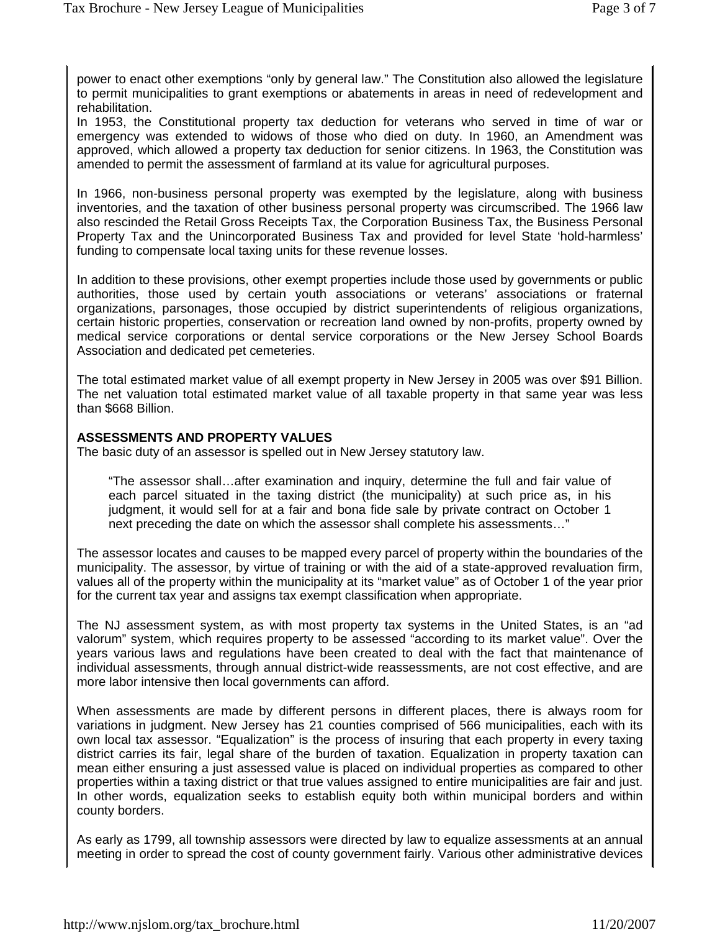power to enact other exemptions "only by general law." The Constitution also allowed the legislature to permit municipalities to grant exemptions or abatements in areas in need of redevelopment and rehabilitation.

In 1953, the Constitutional property tax deduction for veterans who served in time of war or emergency was extended to widows of those who died on duty. In 1960, an Amendment was approved, which allowed a property tax deduction for senior citizens. In 1963, the Constitution was amended to permit the assessment of farmland at its value for agricultural purposes.

In 1966, non-business personal property was exempted by the legislature, along with business inventories, and the taxation of other business personal property was circumscribed. The 1966 law also rescinded the Retail Gross Receipts Tax, the Corporation Business Tax, the Business Personal Property Tax and the Unincorporated Business Tax and provided for level State 'hold-harmless' funding to compensate local taxing units for these revenue losses.

In addition to these provisions, other exempt properties include those used by governments or public authorities, those used by certain youth associations or veterans' associations or fraternal organizations, parsonages, those occupied by district superintendents of religious organizations, certain historic properties, conservation or recreation land owned by non-profits, property owned by medical service corporations or dental service corporations or the New Jersey School Boards Association and dedicated pet cemeteries.

The total estimated market value of all exempt property in New Jersey in 2005 was over \$91 Billion. The net valuation total estimated market value of all taxable property in that same year was less than \$668 Billion.

### **ASSESSMENTS AND PROPERTY VALUES**

The basic duty of an assessor is spelled out in New Jersey statutory law.

"The assessor shall…after examination and inquiry, determine the full and fair value of each parcel situated in the taxing district (the municipality) at such price as, in his judgment, it would sell for at a fair and bona fide sale by private contract on October 1 next preceding the date on which the assessor shall complete his assessments…"

The assessor locates and causes to be mapped every parcel of property within the boundaries of the municipality. The assessor, by virtue of training or with the aid of a state-approved revaluation firm, values all of the property within the municipality at its "market value" as of October 1 of the year prior for the current tax year and assigns tax exempt classification when appropriate.

The NJ assessment system, as with most property tax systems in the United States, is an "ad valorum" system, which requires property to be assessed "according to its market value". Over the years various laws and regulations have been created to deal with the fact that maintenance of individual assessments, through annual district-wide reassessments, are not cost effective, and are more labor intensive then local governments can afford.

When assessments are made by different persons in different places, there is always room for variations in judgment. New Jersey has 21 counties comprised of 566 municipalities, each with its own local tax assessor. "Equalization" is the process of insuring that each property in every taxing district carries its fair, legal share of the burden of taxation. Equalization in property taxation can mean either ensuring a just assessed value is placed on individual properties as compared to other properties within a taxing district or that true values assigned to entire municipalities are fair and just. In other words, equalization seeks to establish equity both within municipal borders and within county borders.

As early as 1799, all township assessors were directed by law to equalize assessments at an annual meeting in order to spread the cost of county government fairly. Various other administrative devices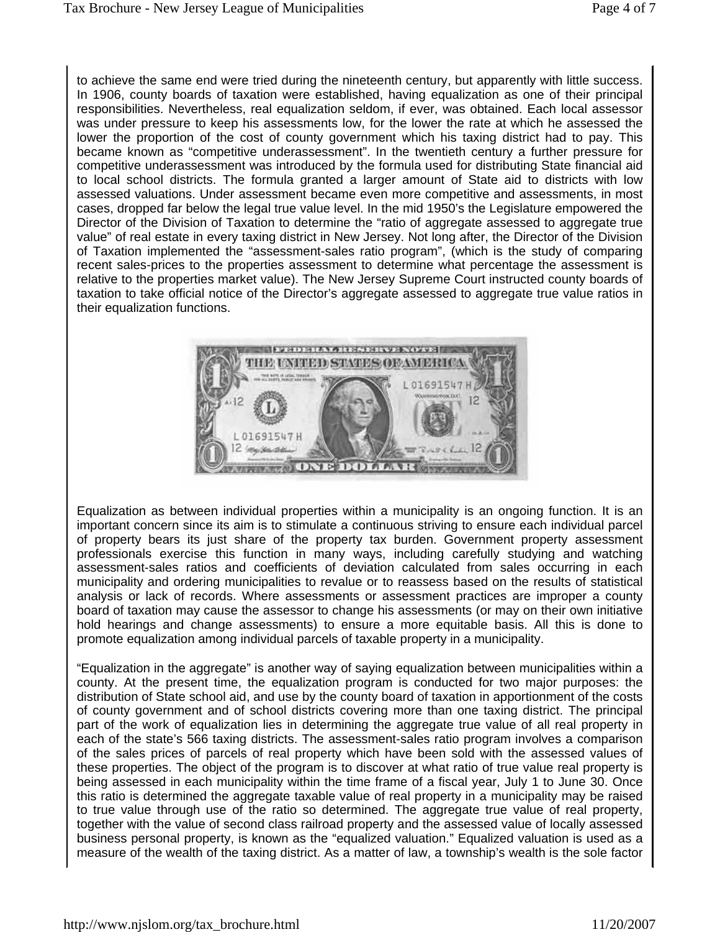to achieve the same end were tried during the nineteenth century, but apparently with little success. In 1906, county boards of taxation were established, having equalization as one of their principal responsibilities. Nevertheless, real equalization seldom, if ever, was obtained. Each local assessor was under pressure to keep his assessments low, for the lower the rate at which he assessed the lower the proportion of the cost of county government which his taxing district had to pay. This became known as "competitive underassessment". In the twentieth century a further pressure for competitive underassessment was introduced by the formula used for distributing State financial aid to local school districts. The formula granted a larger amount of State aid to districts with low assessed valuations. Under assessment became even more competitive and assessments, in most cases, dropped far below the legal true value level. In the mid 1950's the Legislature empowered the Director of the Division of Taxation to determine the "ratio of aggregate assessed to aggregate true value" of real estate in every taxing district in New Jersey. Not long after, the Director of the Division of Taxation implemented the "assessment-sales ratio program", (which is the study of comparing recent sales-prices to the properties assessment to determine what percentage the assessment is relative to the properties market value). The New Jersey Supreme Court instructed county boards of taxation to take official notice of the Director's aggregate assessed to aggregate true value ratios in their equalization functions.



Equalization as between individual properties within a municipality is an ongoing function. It is an important concern since its aim is to stimulate a continuous striving to ensure each individual parcel of property bears its just share of the property tax burden. Government property assessment professionals exercise this function in many ways, including carefully studying and watching assessment-sales ratios and coefficients of deviation calculated from sales occurring in each municipality and ordering municipalities to revalue or to reassess based on the results of statistical analysis or lack of records. Where assessments or assessment practices are improper a county board of taxation may cause the assessor to change his assessments (or may on their own initiative hold hearings and change assessments) to ensure a more equitable basis. All this is done to promote equalization among individual parcels of taxable property in a municipality.

"Equalization in the aggregate" is another way of saying equalization between municipalities within a county. At the present time, the equalization program is conducted for two major purposes: the distribution of State school aid, and use by the county board of taxation in apportionment of the costs of county government and of school districts covering more than one taxing district. The principal part of the work of equalization lies in determining the aggregate true value of all real property in each of the state's 566 taxing districts. The assessment-sales ratio program involves a comparison of the sales prices of parcels of real property which have been sold with the assessed values of these properties. The object of the program is to discover at what ratio of true value real property is being assessed in each municipality within the time frame of a fiscal year, July 1 to June 30. Once this ratio is determined the aggregate taxable value of real property in a municipality may be raised to true value through use of the ratio so determined. The aggregate true value of real property, together with the value of second class railroad property and the assessed value of locally assessed business personal property, is known as the "equalized valuation." Equalized valuation is used as a measure of the wealth of the taxing district. As a matter of law, a township's wealth is the sole factor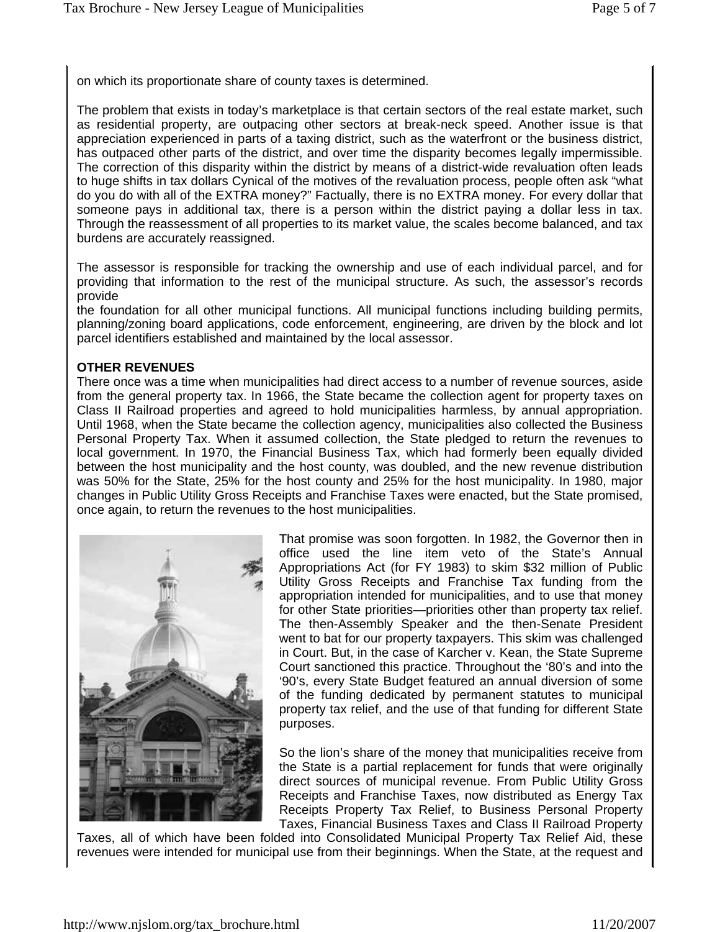on which its proportionate share of county taxes is determined.

The problem that exists in today's marketplace is that certain sectors of the real estate market, such as residential property, are outpacing other sectors at break-neck speed. Another issue is that appreciation experienced in parts of a taxing district, such as the waterfront or the business district, has outpaced other parts of the district, and over time the disparity becomes legally impermissible. The correction of this disparity within the district by means of a district-wide revaluation often leads to huge shifts in tax dollars Cynical of the motives of the revaluation process, people often ask "what do you do with all of the EXTRA money?" Factually, there is no EXTRA money. For every dollar that someone pays in additional tax, there is a person within the district paying a dollar less in tax. Through the reassessment of all properties to its market value, the scales become balanced, and tax burdens are accurately reassigned.

The assessor is responsible for tracking the ownership and use of each individual parcel, and for providing that information to the rest of the municipal structure. As such, the assessor's records provide

the foundation for all other municipal functions. All municipal functions including building permits, planning/zoning board applications, code enforcement, engineering, are driven by the block and lot parcel identifiers established and maintained by the local assessor.

## **OTHER REVENUES**

There once was a time when municipalities had direct access to a number of revenue sources, aside from the general property tax. In 1966, the State became the collection agent for property taxes on Class II Railroad properties and agreed to hold municipalities harmless, by annual appropriation. Until 1968, when the State became the collection agency, municipalities also collected the Business Personal Property Tax. When it assumed collection, the State pledged to return the revenues to local government. In 1970, the Financial Business Tax, which had formerly been equally divided between the host municipality and the host county, was doubled, and the new revenue distribution was 50% for the State, 25% for the host county and 25% for the host municipality. In 1980, major changes in Public Utility Gross Receipts and Franchise Taxes were enacted, but the State promised, once again, to return the revenues to the host municipalities.



That promise was soon forgotten. In 1982, the Governor then in office used the line item veto of the State's Annual Appropriations Act (for FY 1983) to skim \$32 million of Public Utility Gross Receipts and Franchise Tax funding from the appropriation intended for municipalities, and to use that money for other State priorities—priorities other than property tax relief. The then-Assembly Speaker and the then-Senate President went to bat for our property taxpayers. This skim was challenged in Court. But, in the case of Karcher v. Kean, the State Supreme Court sanctioned this practice. Throughout the '80's and into the '90's, every State Budget featured an annual diversion of some of the funding dedicated by permanent statutes to municipal property tax relief, and the use of that funding for different State purposes.

So the lion's share of the money that municipalities receive from the State is a partial replacement for funds that were originally direct sources of municipal revenue. From Public Utility Gross Receipts and Franchise Taxes, now distributed as Energy Tax Receipts Property Tax Relief, to Business Personal Property Taxes, Financial Business Taxes and Class II Railroad Property

Taxes, all of which have been folded into Consolidated Municipal Property Tax Relief Aid, these revenues were intended for municipal use from their beginnings. When the State, at the request and